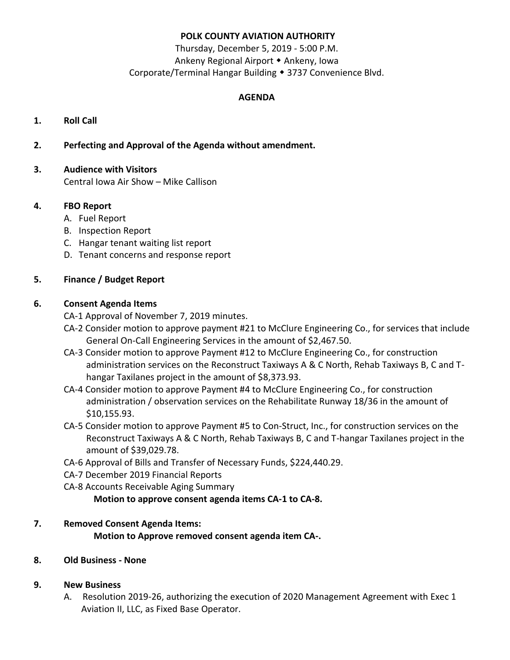## **POLK COUNTY AVIATION AUTHORITY**

Thursday, December 5, 2019 - 5:00 P.M. Ankeny Regional Airport • Ankeny, Iowa Corporate/Terminal Hangar Building • 3737 Convenience Blvd.

## **AGENDA**

- **1. Roll Call**
- **2. Perfecting and Approval of the Agenda without amendment.**
- **3. Audience with Visitors** Central Iowa Air Show – Mike Callison

# **4. FBO Report**

- A. Fuel Report
- B. Inspection Report
- C. Hangar tenant waiting list report
- D. Tenant concerns and response report

# **5. Finance / Budget Report**

## **6. Consent Agenda Items**

CA-1 Approval of November 7, 2019 minutes.

- CA-2 Consider motion to approve payment #21 to McClure Engineering Co., for services that include General On-Call Engineering Services in the amount of \$2,467.50.
- CA-3 Consider motion to approve Payment #12 to McClure Engineering Co., for construction administration services on the Reconstruct Taxiways A & C North, Rehab Taxiways B, C and Thangar Taxilanes project in the amount of \$8,373.93.
- CA-4 Consider motion to approve Payment #4 to McClure Engineering Co., for construction administration / observation services on the Rehabilitate Runway 18/36 in the amount of \$10,155.93.
- CA-5 Consider motion to approve Payment #5 to Con-Struct, Inc., for construction services on the Reconstruct Taxiways A & C North, Rehab Taxiways B, C and T-hangar Taxilanes project in the amount of \$39,029.78.
- CA-6 Approval of Bills and Transfer of Necessary Funds, \$224,440.29.
- CA-7 December 2019 Financial Reports
- CA-8 Accounts Receivable Aging Summary

**Motion to approve consent agenda items CA-1 to CA-8.**

## **7. Removed Consent Agenda Items:**

**Motion to Approve removed consent agenda item CA-.**

## **8. Old Business - None**

## **9. New Business**

A. Resolution 2019-26, authorizing the execution of 2020 Management Agreement with Exec 1 Aviation II, LLC, as Fixed Base Operator.